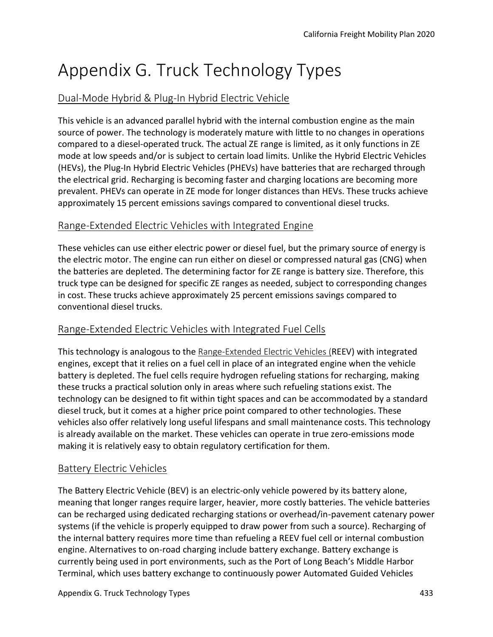# Appendix G. Truck Technology Types

## Dual-Mode Hybrid & Plug-In Hybrid Electric Vehicle

This vehicle is an advanced parallel hybrid with the internal combustion engine as the main source of power. The technology is moderately mature with little to no changes in operations compared to a diesel-operated truck. The actual ZE range is limited, as it only functions in ZE mode at low speeds and/or is subject to certain load limits. Unlike the Hybrid Electric Vehicles (HEVs), the Plug-In Hybrid Electric Vehicles (PHEVs) have batteries that are recharged through the electrical grid. Recharging is becoming faster and charging locations are becoming more prevalent. PHEVs can operate in ZE mode for longer distances than HEVs. These trucks achieve approximately 15 percent emissions savings compared to conventional diesel trucks.

#### Range-Extended Electric Vehicles with Integrated Engine

These vehicles can use either electric power or diesel fuel, but the primary source of energy is the electric motor. The engine can run either on diesel or compressed natural gas (CNG) when the batteries are depleted. The determining factor for ZE range is battery size. Therefore, this truck type can be designed for specific ZE ranges as needed, subject to corresponding changes in cost. These trucks achieve approximately 25 percent emissions savings compared to conventional diesel trucks.

## Range-Extended Electric Vehicles with Integrated Fuel Cells

This technology is analogous to the Range-Extended Electric Vehicles (REEV) with integrated engines, except that it relies on a fuel cell in place of an integrated engine when the vehicle battery is depleted. The fuel cells require hydrogen refueling stations for recharging, making these trucks a practical solution only in areas where such refueling stations exist. The technology can be designed to fit within tight spaces and can be accommodated by a standard diesel truck, but it comes at a higher price point compared to other technologies. These vehicles also offer relatively long useful lifespans and small maintenance costs. This technology is already available on the market. These vehicles can operate in true zero-emissions mode making it is relatively easy to obtain regulatory certification for them.

## Battery Electric Vehicles

The Battery Electric Vehicle (BEV) is an electric-only vehicle powered by its battery alone, meaning that longer ranges require larger, heavier, more costly batteries. The vehicle batteries can be recharged using dedicated recharging stations or overhead/in-pavement catenary power systems (if the vehicle is properly equipped to draw power from such a source). Recharging of the internal battery requires more time than refueling a REEV fuel cell or internal combustion engine. Alternatives to on-road charging include battery exchange. Battery exchange is currently being used in port environments, such as the Port of Long Beach's Middle Harbor Terminal, which uses battery exchange to continuously power Automated Guided Vehicles